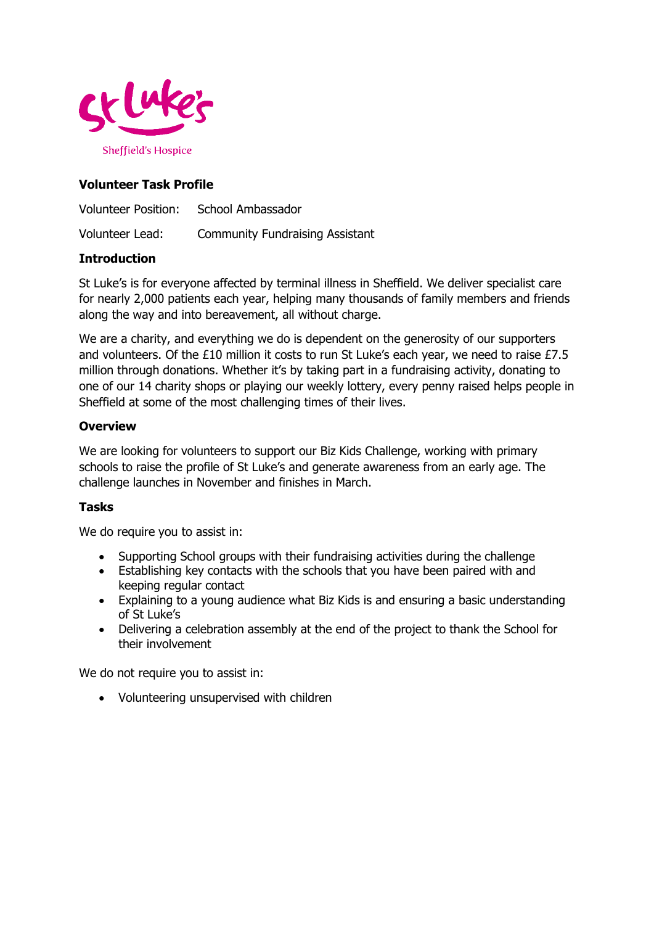

# **Volunteer Task Profile**

Volunteer Position: School Ambassador Volunteer Lead: Community Fundraising Assistant

### **Introduction**

St Luke's is for everyone affected by terminal illness in Sheffield. We deliver specialist care for nearly 2,000 patients each year, helping many thousands of family members and friends along the way and into bereavement, all without charge.

We are a charity, and everything we do is dependent on the generosity of our supporters and volunteers. Of the £10 million it costs to run St Luke's each year, we need to raise £7.5 million through donations. Whether it's by taking part in a fundraising activity, donating to one of our 14 charity shops or playing our weekly lottery, every penny raised helps people in Sheffield at some of the most challenging times of their lives.

### **Overview**

We are looking for volunteers to support our Biz Kids Challenge, working with primary schools to raise the profile of St Luke's and generate awareness from an early age. The challenge launches in November and finishes in March.

## **Tasks**

We do require you to assist in:

- Supporting School groups with their fundraising activities during the challenge
- Establishing key contacts with the schools that you have been paired with and keeping regular contact
- Explaining to a young audience what Biz Kids is and ensuring a basic understanding of St Luke's
- Delivering a celebration assembly at the end of the project to thank the School for their involvement

We do not require you to assist in:

Volunteering unsupervised with children